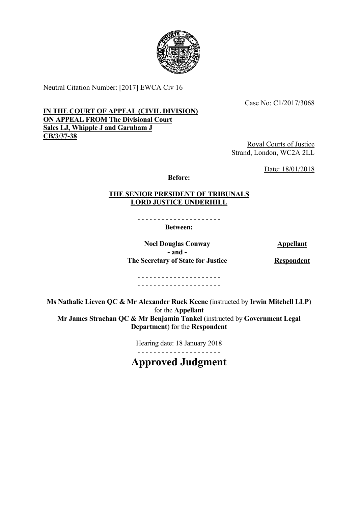

Neutral Citation Number: [2017] EWCA Civ 16

Case No: C1/2017/3068

### **IN THE COURT OF APPEAL (CIVIL DIVISION) ON APPEAL FROM The Divisional Court Sales LJ, Whipple J and Garnham J CB/3/37-38**

Royal Courts of Justice Strand, London, WC2A 2LL

Date: 18/01/2018

**Before:**

### **THE SENIOR PRESIDENT OF TRIBUNALS LORD JUSTICE UNDERHILL**

- - - - - - - - - - - - - - - - - - - - - **Between:** 

**Noel Douglas Conway Appellant - and - The Secretary of State for Justice Respondent** 

- - - - - - - - - - - - - - - - - - - - - - - - - - - - - - - - - - - - - - - - - -

**Ms Nathalie Lieven QC & Mr Alexander Ruck Keene** (instructed by **Irwin Mitchell LLP**) for the **Appellant Mr James Strachan QC & Mr Benjamin Tankel** (instructed by **Government Legal Department**) for the **Respondent**

> - - - - - - - - - - - - - - - - - - - - - Hearing date: 18 January 2018

**Approved Judgment**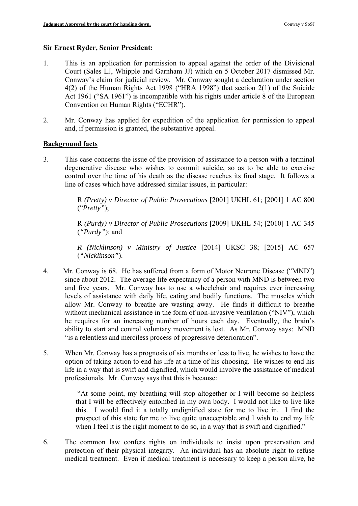### **Sir Ernest Ryder, Senior President:**

- 1. This is an application for permission to appeal against the order of the Divisional Court (Sales LJ, Whipple and Garnham JJ) which on 5 October 2017 dismissed Mr. Conway's claim for judicial review. Mr. Conway sought a declaration under section 4(2) of the Human Rights Act 1998 ("HRA 1998") that section 2(1) of the Suicide Act 1961 ("SA 1961") is incompatible with his rights under article 8 of the European Convention on Human Rights ("ECHR").
- 2. Mr. Conway has applied for expedition of the application for permission to appeal and, if permission is granted, the substantive appeal.

### **Background facts**

 3. This case concerns the issue of the provision of assistance to a person with a terminal degenerative disease who wishes to commit suicide, so as to be able to exercise control over the time of his death as the disease reaches its final stage. It follows a line of cases which have addressed similar issues, in particular:

> R *(Pretty) v Director of Public Prosecutions* [2001] UKHL 61; [2001] 1 AC 800 ("*Pretty"*);

> R *(Purdy) v Director of Public Prosecutions* [2009] UKHL 54; [2010] 1 AC 345 (*"Purdy"*): and

> *R (Nicklinson) v Ministry of Justice* [2014] UKSC 38; [2015] AC 657 (*"Nicklinson"*).

- 4. Mr. Conway is 68. He has suffered from a form of Motor Neurone Disease ("MND") he requires for an increasing number of hours each day. Eventually, the brain's since about 2012. The average life expectancy of a person with MND is between two and five years. Mr. Conway has to use a wheelchair and requires ever increasing levels of assistance with daily life, eating and bodily functions. The muscles which allow Mr. Conway to breathe are wasting away. He finds it difficult to breathe without mechanical assistance in the form of non-invasive ventilation ("NIV"), which ability to start and control voluntary movement is lost. As Mr. Conway says: MND "is a relentless and merciless process of progressive deterioration".
- 5. When Mr. Conway has a prognosis of six months or less to live, he wishes to have the option of taking action to end his life at a time of his choosing. He wishes to end his life in a way that is swift and dignified, which would involve the assistance of medical professionals. Mr. Conway says that this is because:

 that I will be effectively entombed in my own body. I would not like to live like this. I would find it a totally undignified state for me to live in. I find the prospect of this state for me to live quite unacceptable and I wish to end my life "At some point, my breathing will stop altogether or I will become so helpless when I feel it is the right moment to do so, in a way that is swift and dignified."

6. The common law confers rights on individuals to insist upon preservation and protection of their physical integrity. An individual has an absolute right to refuse medical treatment. Even if medical treatment is necessary to keep a person alive, he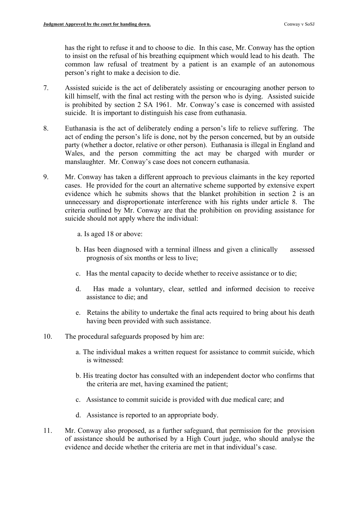has the right to refuse it and to choose to die. In this case, Mr. Conway has the option to insist on the refusal of his breathing equipment which would lead to his death. The common law refusal of treatment by a patient is an example of an autonomous person's right to make a decision to die.

- 7. Assisted suicide is the act of deliberately assisting or encouraging another person to kill himself, with the final act resting with the person who is dying. Assisted suicide is prohibited by section 2 SA 1961. Mr. Conway's case is concerned with assisted suicide. It is important to distinguish his case from euthanasia.
- 8. Euthanasia is the act of deliberately ending a person's life to relieve suffering. The act of ending the person's life is done, not by the person concerned, but by an outside party (whether a doctor, relative or other person). Euthanasia is illegal in England and Wales, and the person committing the act may be charged with murder or manslaughter. Mr. Conway's case does not concern euthanasia.
- evidence which he submits shows that the blanket prohibition in section 2 is an 9. Mr. Conway has taken a different approach to previous claimants in the key reported cases. He provided for the court an alternative scheme supported by extensive expert unnecessary and disproportionate interference with his rights under article 8. The criteria outlined by Mr. Conway are that the prohibition on providing assistance for suicide should not apply where the individual:

a. Is aged 18 or above:

- b. Has been diagnosed with a terminal illness and given a clinically assessed prognosis of six months or less to live;
- c. Has the mental capacity to decide whether to receive assistance or to die;
- d. Has made a voluntary, clear, settled and informed decision to receive assistance to die; and
- e. Retains the ability to undertake the final acts required to bring about his death having been provided with such assistance.
- 10. The procedural safeguards proposed by him are:
	- a. The individual makes a written request for assistance to commit suicide, which is witnessed:
	- b. His treating doctor has consulted with an independent doctor who confirms that the criteria are met, having examined the patient;
	- c. Assistance to commit suicide is provided with due medical care; and
	- d. Assistance is reported to an appropriate body.
- 11. Mr. Conway also proposed, as a further safeguard, that permission for the provision of assistance should be authorised by a High Court judge, who should analyse the evidence and decide whether the criteria are met in that individual's case.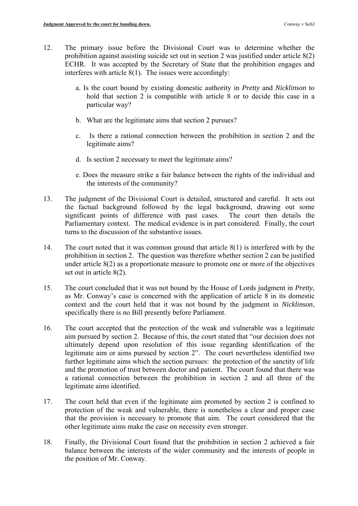- ECHR. It was accepted by the Secretary of State that the prohibition engages and 12. The primary issue before the Divisional Court was to determine whether the prohibition against assisting suicide set out in section 2 was justified under article 8(2) interferes with article 8(1). The issues were accordingly:
	- hold that section 2 is compatible with article 8 or to decide this case in a a. Is the court bound by existing domestic authority in *Pretty* and *Nicklinson* to particular way?
	- b. What are the legitimate aims that section 2 pursues?
	- c. Is there a rational connection between the prohibition in section 2 and the legitimate aims?
	- d. Is section 2 necessary to meet the legitimate aims?
	- e. Does the measure strike a fair balance between the rights of the individual and the interests of the community?
- 13. The judgment of the Divisional Court is detailed, structured and careful. It sets out the factual background followed by the legal background, drawing out some significant points of difference with past cases. The court then details the Parliamentary context. The medical evidence is in part considered. Finally, the court turns to the discussion of the substantive issues.
- 14. The court noted that it was common ground that article 8(1) is interfered with by the prohibition in section 2. The question was therefore whether section 2 can be justified under article 8(2) as a proportionate measure to promote one or more of the objectives set out in article 8(2).
- as Mr. Conway's case is concerned with the application of article 8 in its domestic 15. The court concluded that it was not bound by the House of Lords judgment in *Pretty*, context and the court held that it was not bound by the judgment in *Nicklinson*, specifically there is no Bill presently before Parliament.
- aim pursued by section 2. Because of this, the court stated that "our decision does not 16. The court accepted that the protection of the weak and vulnerable was a legitimate ultimately depend upon resolution of this issue regarding identification of the legitimate aim or aims pursued by section 2". The court nevertheless identified two further legitimate aims which the section pursues: the protection of the sanctity of life and the promotion of trust between doctor and patient. The court found that there was a rational connection between the prohibition in section 2 and all three of the legitimate aims identified.
- 17. The court held that even if the legitimate aim promoted by section 2 is confined to protection of the weak and vulnerable, there is nonetheless a clear and proper case that the provision is necessary to promote that aim. The court considered that the other legitimate aims make the case on necessity even stronger.
- 18. Finally, the Divisional Court found that the prohibition in section 2 achieved a fair balance between the interests of the wider community and the interests of people in the position of Mr. Conway.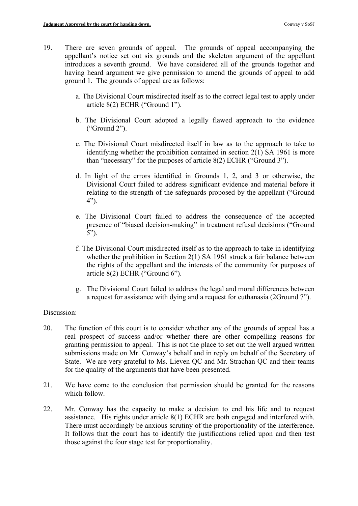- appellant's notice set out six grounds and the skeleton argument of the appellant 19. There are seven grounds of appeal. The grounds of appeal accompanying the introduces a seventh ground. We have considered all of the grounds together and having heard argument we give permission to amend the grounds of appeal to add ground 1. The grounds of appeal are as follows:
	- a. The Divisional Court misdirected itself as to the correct legal test to apply under article 8(2) ECHR ("Ground 1").
	- b. The Divisional Court adopted a legally flawed approach to the evidence ("Ground 2").
	- c. The Divisional Court misdirected itself in law as to the approach to take to identifying whether the prohibition contained in section 2(1) SA 1961 is more than "necessary" for the purposes of article 8(2) ECHR ("Ground 3").
	- d. In light of the errors identified in Grounds 1, 2, and 3 or otherwise, the Divisional Court failed to address significant evidence and material before it relating to the strength of the safeguards proposed by the appellant ("Ground 4").
	- e. The Divisional Court failed to address the consequence of the accepted presence of "biased decision-making" in treatment refusal decisions ("Ground 5").
	- f. The Divisional Court misdirected itself as to the approach to take in identifying whether the prohibition in Section 2(1) SA 1961 struck a fair balance between the rights of the appellant and the interests of the community for purposes of article 8(2) ECHR ("Ground 6").
	- g. The Divisional Court failed to address the legal and moral differences between a request for assistance with dying and a request for euthanasia (2Ground 7").

### Discussion:

- 20. The function of this court is to consider whether any of the grounds of appeal has a real prospect of success and/or whether there are other compelling reasons for granting permission to appeal. This is not the place to set out the well argued written submissions made on Mr. Conway's behalf and in reply on behalf of the Secretary of State. We are very grateful to Ms. Lieven QC and Mr. Strachan QC and their teams for the quality of the arguments that have been presented.
- 21. We have come to the conclusion that permission should be granted for the reasons which follow.
- assistance. His rights under article 8(1) ECHR are both engaged and interfered with. 22. Mr. Conway has the capacity to make a decision to end his life and to request There must accordingly be anxious scrutiny of the proportionality of the interference. It follows that the court has to identify the justifications relied upon and then test those against the four stage test for proportionality.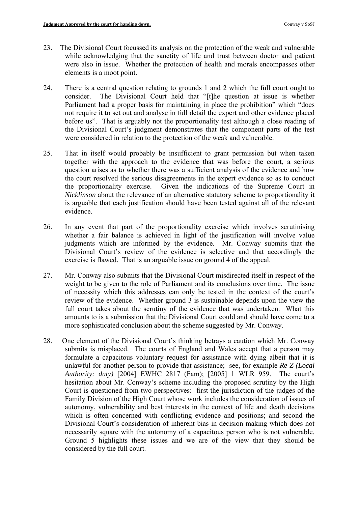- 23. The Divisional Court focussed its analysis on the protection of the weak and vulnerable while acknowledging that the sanctity of life and trust between doctor and patient were also in issue. Whether the protection of health and morals encompasses other elements is a moot point.
- Parliament had a proper basis for maintaining in place the prohibition" which "does the Divisional Court's judgment demonstrates that the component parts of the test 24. There is a central question relating to grounds 1 and 2 which the full court ought to consider. The Divisional Court held that "[t]he question at issue is whether not require it to set out and analyse in full detail the expert and other evidence placed before us". That is arguably not the proportionality test although a close reading of were considered in relation to the protection of the weak and vulnerable.
- the proportionality exercise. evidence. 25. That in itself would probably be insufficient to grant permission but when taken together with the approach to the evidence that was before the court, a serious question arises as to whether there was a sufficient analysis of the evidence and how the court resolved the serious disagreements in the expert evidence so as to conduct Given the indications of the Supreme Court in *Nicklinson* about the relevance of an alternative statutory scheme to proportionality it is arguable that each justification should have been tested against all of the relevant
- whether a fair balance is achieved in light of the justification will involve value 26. In any event that part of the proportionality exercise which involves scrutinising judgments which are informed by the evidence. Mr. Conway submits that the Divisional Court's review of the evidence is selective and that accordingly the exercise is flawed. That is an arguable issue on ground 4 of the appeal.
- 27. Mr. Conway also submits that the Divisional Court misdirected itself in respect of the weight to be given to the role of Parliament and its conclusions over time. The issue of necessity which this addresses can only be tested in the context of the court's review of the evidence. Whether ground 3 is sustainable depends upon the view the full court takes about the scrutiny of the evidence that was undertaken. What this amounts to is a submission that the Divisional Court could and should have come to a more sophisticated conclusion about the scheme suggested by Mr. Conway.
- 28. One element of the Divisional Court's thinking betrays a caution which Mr. Conway Court is questioned from two perspectives: first the jurisdiction of the judges of the submits is misplaced. The courts of England and Wales accept that a person may formulate a capacitous voluntary request for assistance with dying albeit that it is unlawful for another person to provide that assistance; see, for example *Re Z (Local Authority: duty)* [2004] EWHC 2817 (Fam); [2005] 1 WLR 959. The court's hesitation about Mr. Conway's scheme including the proposed scrutiny by the High Family Division of the High Court whose work includes the consideration of issues of autonomy, vulnerability and best interests in the context of life and death decisions which is often concerned with conflicting evidence and positions; and second the Divisional Court's consideration of inherent bias in decision making which does not necessarily square with the autonomy of a capacitous person who is not vulnerable. Ground 5 highlights these issues and we are of the view that they should be considered by the full court.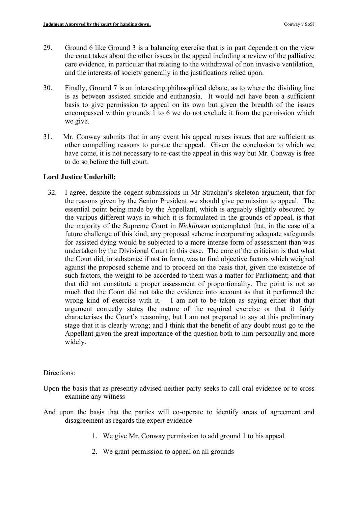- 29. Ground 6 like Ground 3 is a balancing exercise that is in part dependent on the view the court takes about the other issues in the appeal including a review of the palliative care evidence, in particular that relating to the withdrawal of non invasive ventilation, and the interests of society generally in the justifications relied upon.
- basis to give permission to appeal on its own but given the breadth of the issues 30. Finally, Ground 7 is an interesting philosophical debate, as to where the dividing line is as between assisted suicide and euthanasia. It would not have been a sufficient encompassed within grounds 1 to 6 we do not exclude it from the permission which we give.
- 31. Mr. Conway submits that in any event his appeal raises issues that are sufficient as other compelling reasons to pursue the appeal. Given the conclusion to which we have come, it is not necessary to re-cast the appeal in this way but Mr. Conway is free to do so before the full court.

# **Lord Justice Underhill:**

 the majority of the Supreme Court in *Nicklinson* contemplated that, in the case of a against the proposed scheme and to proceed on the basis that, given the existence of such factors, the weight to be accorded to them was a matter for Parliament; and that wrong kind of exercise with it. argument correctly states the nature of the required exercise or that it fairly characterises the Court's reasoning, but I am not prepared to say at this preliminary 32. I agree, despite the cogent submissions in Mr Strachan's skeleton argument, that for the reasons given by the Senior President we should give permission to appeal. The essential point being made by the Appellant, which is arguably slightly obscured by the various different ways in which it is formulated in the grounds of appeal, is that future challenge of this kind, any proposed scheme incorporating adequate safeguards for assisted dying would be subjected to a more intense form of assessment than was undertaken by the Divisional Court in this case. The core of the criticism is that what the Court did, in substance if not in form, was to find objective factors which weighed that did not constitute a proper assessment of proportionality. The point is not so much that the Court did not take the evidence into account as that it performed the I am not to be taken as saying either that that stage that it is clearly wrong; and I think that the benefit of any doubt must go to the Appellant given the great importance of the question both to him personally and more widely.

# Directions:

- Upon the basis that as presently advised neither party seeks to call oral evidence or to cross examine any witness
- And upon the basis that the parties will co-operate to identify areas of agreement and disagreement as regards the expert evidence
	- 1. We give Mr. Conway permission to add ground 1 to his appeal
	- 2. We grant permission to appeal on all grounds